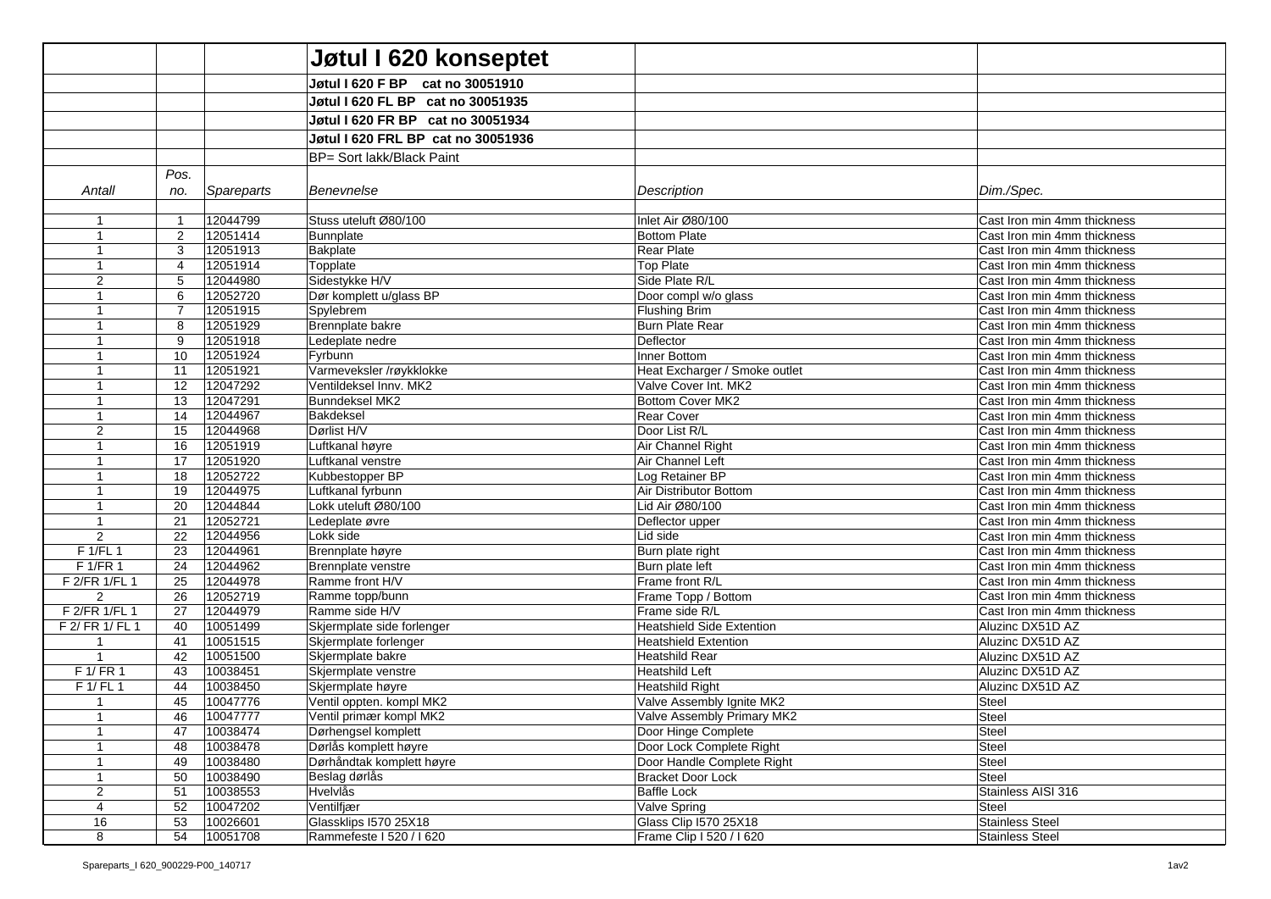|                           |                     |                      | Jøtul I 620 konseptet              |                                          |                                                            |
|---------------------------|---------------------|----------------------|------------------------------------|------------------------------------------|------------------------------------------------------------|
|                           |                     |                      | Jøtul I 620 F BP cat no 30051910   |                                          |                                                            |
|                           |                     |                      | Jøtul I 620 FL BP cat no 30051935  |                                          |                                                            |
|                           |                     |                      | Jøtul I 620 FR BP cat no 30051934  |                                          |                                                            |
|                           |                     |                      | Jøtul I 620 FRL BP cat no 30051936 |                                          |                                                            |
|                           |                     |                      |                                    |                                          |                                                            |
|                           |                     |                      | BP= Sort lakk/Black Paint          |                                          |                                                            |
|                           | Pos.                |                      |                                    |                                          |                                                            |
| Antall                    | no.                 | Spareparts           | Benevnelse                         | Description                              | Dim./Spec.                                                 |
|                           |                     |                      | Stuss uteluft Ø80/100              |                                          |                                                            |
| $\overline{1}$<br>-1      | $\overline{1}$<br>2 | 12044799<br>12051414 | Bunnplate                          | Inlet Air Ø80/100<br><b>Bottom Plate</b> | Cast Iron min 4mm thickness<br>Cast Iron min 4mm thickness |
|                           | 3                   | 12051913             | Bakplate                           | Rear Plate                               | Cast Iron min 4mm thickness                                |
| $\overline{1}$            | 4                   | 12051914             | Topplate                           | <b>Top Plate</b>                         | Cast Iron min 4mm thickness                                |
| 2                         | 5                   | 12044980             | Sidestykke H/V                     | Side Plate R/L                           | Cast Iron min 4mm thickness                                |
| $\overline{1}$            | 6                   | 12052720             | Dør komplett u/glass BP            | Door compl w/o glass                     | Cast Iron min 4mm thickness                                |
| -1                        | $\overline{7}$      | 12051915             | Spylebrem                          | <b>Flushing Brim</b>                     | Cast Iron min 4mm thickness                                |
|                           | 8                   | 12051929             | Brennplate bakre                   | <b>Burn Plate Rear</b>                   | Cast Iron min 4mm thickness                                |
| $\overline{1}$            | 9                   | 12051918             | Ledeplate nedre                    | Deflector                                | Cast Iron min 4mm thickness                                |
| $\mathbf 1$               | 10                  | 12051924             | Fyrbunn                            | Inner Bottom                             | Cast Iron min 4mm thickness                                |
|                           | 11                  | 12051921             | Varmeveksler /røykklokke           | Heat Excharger / Smoke outlet            | Cast Iron min 4mm thickness                                |
|                           | 12                  | 12047292             | Ventildeksel Innv. MK2             | Valve Cover Int. MK2                     | Cast Iron min 4mm thickness                                |
| -1                        | 13                  | 12047291             | <b>Bunndeksel MK2</b>              | Bottom Cover MK2                         | Cast Iron min 4mm thickness                                |
|                           | 14                  | 12044967             | Bakdeksel                          | <b>Rear Cover</b>                        | Cast Iron min 4mm thickness                                |
| 2                         | 15                  | 12044968             | Dørlist H/V                        | Door List R/L                            | Cast Iron min 4mm thickness                                |
| $\mathbf 1$               | 16                  | 12051919             | Luftkanal høyre                    | Air Channel Right                        | Cast Iron min 4mm thickness                                |
|                           | 17                  | 12051920             | Luftkanal venstre                  | Air Channel Left                         | Cast Iron min 4mm thickness                                |
|                           | 18                  | 12052722             | Kubbestopper BP                    | Log Retainer BP                          | Cast Iron min 4mm thickness                                |
|                           | 19                  | 12044975             | Luftkanal fyrbunn                  | Air Distributor Bottom                   | Cast Iron min 4mm thickness                                |
|                           | 20                  | 12044844             | Lokk uteluft Ø80/100               | Lid Air Ø80/100                          | Cast Iron min 4mm thickness                                |
|                           | 21                  | 12052721             | Ledeplate øvre                     | Deflector upper                          | Cast Iron min 4mm thickness                                |
| $\overline{2}$            | 22                  | 12044956             | Lokk side                          | Lid side                                 | Cast Iron min 4mm thickness                                |
| $F$ 1/FL 1                | 23                  | 12044961             | Brennplate høyre                   | Burn plate right                         | Cast Iron min 4mm thickness                                |
| F 1/FR 1<br>F 2/FR 1/FL 1 | 24<br>25            | 12044962<br>12044978 | Brennplate venstre                 | Burn plate left<br>Frame front R/L       | Cast Iron min 4mm thickness                                |
| 2                         | 26                  | 12052719             | Ramme front H/V<br>Ramme topp/bunn | Frame Topp / Bottom                      | Cast Iron min 4mm thickness<br>Cast Iron min 4mm thickness |
| F 2/FR 1/FL 1             | 27                  | 12044979             | Ramme side H/V                     | Frame side R/L                           | Cast Iron min 4mm thickness                                |
| F 2/ FR 1/ FL 1           | 40                  | 10051499             | Skjermplate side forlenger         | <b>Heatshield Side Extention</b>         | Aluzinc DX51D AZ                                           |
| -1                        | 41                  | 10051515             | Skjermplate forlenger              | <b>Heatshield Extention</b>              | Aluzinc DX51D AZ                                           |
| $\overline{1}$            | 42                  | 10051500             | Skjermplate bakre                  | <b>Heatshild Rear</b>                    | Aluzinc DX51D AZ                                           |
| F 1/ FR 1                 | 43                  | 10038451             | Skjermplate venstre                | <b>Heatshild Left</b>                    | Aluzinc DX51D AZ                                           |
| F 1/ FL 1                 | 44                  | 10038450             | Skjermplate høyre                  | Heatshild Right                          | Aluzinc DX51D AZ                                           |
| $\overline{1}$            | 45                  | 10047776             | Ventil oppten. kompl MK2           | Valve Assembly Ignite MK2                | <b>Steel</b>                                               |
| $\overline{1}$            | 46                  | 10047777             | Ventil primær kompl MK2            | Valve Assembly Primary MK2               | Steel                                                      |
| -1                        | 47                  | 10038474             | Dørhengsel komplett                | Door Hinge Complete                      | Steel                                                      |
|                           | 48                  | 10038478             | Dørlås komplett høyre              | Door Lock Complete Right                 | Steel                                                      |
| $\mathbf 1$               | 49                  | 10038480             | Dørhåndtak komplett høyre          | Door Handle Complete Right               | Steel                                                      |
|                           | 50                  | 10038490             | Beslag dørlås                      | <b>Bracket Door Lock</b>                 | Steel                                                      |
| $\overline{2}$            | 51                  | 10038553             | Hvelvlås                           | <b>Baffle Lock</b>                       | Stainless AISI 316                                         |
| $\overline{4}$            | 52                  | 10047202             | Ventilfjær                         | Valve Spring                             | Steel                                                      |
| 16                        | 53                  | 10026601             | Glassklips I570 25X18              | Glass Clip I570 25X18                    | <b>Stainless Steel</b>                                     |
| 8                         | 54                  | 10051708             | Rammefeste I 520 / I 620           | Frame Clip I 520 / I 620                 | Stainless Steel                                            |